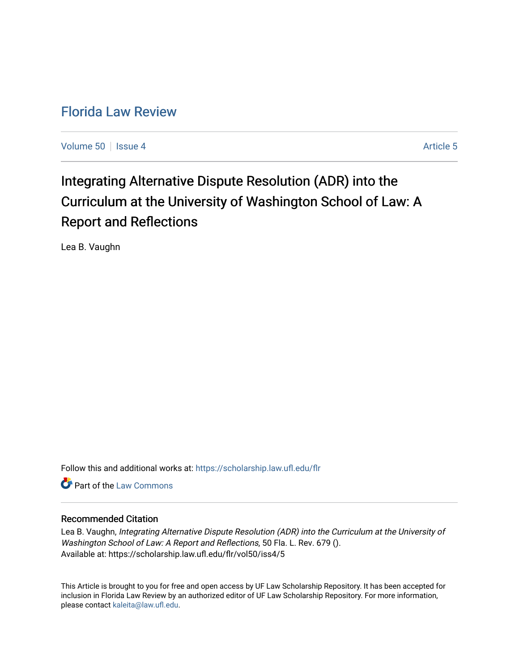# [Florida Law Review](https://scholarship.law.ufl.edu/flr)

[Volume 50](https://scholarship.law.ufl.edu/flr/vol50) Setsue 4 [Article 5](https://scholarship.law.ufl.edu/flr/vol50/iss4/5) Article 5

# Integrating Alternative Dispute Resolution (ADR) into the Curriculum at the University of Washington School of Law: A Report and Reflections

Lea B. Vaughn

Follow this and additional works at: [https://scholarship.law.ufl.edu/flr](https://scholarship.law.ufl.edu/flr?utm_source=scholarship.law.ufl.edu%2Fflr%2Fvol50%2Fiss4%2F5&utm_medium=PDF&utm_campaign=PDFCoverPages)

**C** Part of the [Law Commons](http://network.bepress.com/hgg/discipline/578?utm_source=scholarship.law.ufl.edu%2Fflr%2Fvol50%2Fiss4%2F5&utm_medium=PDF&utm_campaign=PDFCoverPages)

# Recommended Citation

Lea B. Vaughn, Integrating Alternative Dispute Resolution (ADR) into the Curriculum at the University of Washington School of Law: A Report and Reflections, 50 Fla. L. Rev. 679 (). Available at: https://scholarship.law.ufl.edu/flr/vol50/iss4/5

This Article is brought to you for free and open access by UF Law Scholarship Repository. It has been accepted for inclusion in Florida Law Review by an authorized editor of UF Law Scholarship Repository. For more information, please contact [kaleita@law.ufl.edu](mailto:kaleita@law.ufl.edu).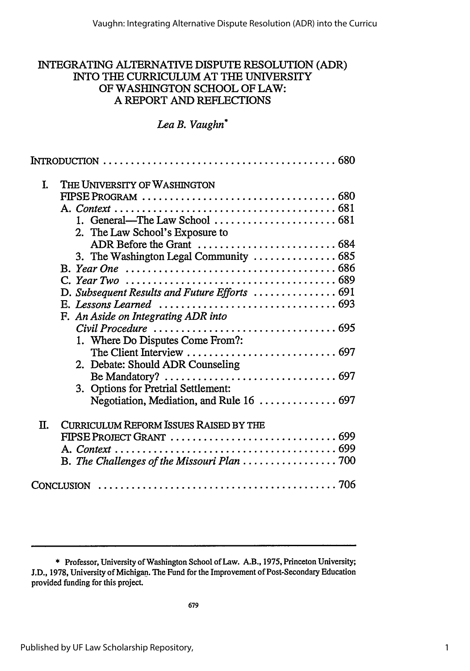# INTEGRATING ALTERNATIVE DISPUTE RESOLUTION (ADR) INTO THE CURRICULUM AT THE UNIVERSITY OF WASHINGTON SCHOOL OF LAW: A REPORT AND REFLECTIONS

# *Lea B. Vaughn\**

| I. | THE UNIVERSITY OF WASHINGTON<br>1. General—The Law School $\ldots \ldots \ldots \ldots \ldots \ldots \ldots \ldots$ 681<br>2. The Law School's Exposure to<br>3. The Washington Legal Community  685<br>D. Subsequent Results and Future Efforts  691<br>E. Lessons Learned $\ldots \ldots \ldots \ldots \ldots \ldots \ldots \ldots \ldots \ldots \ldots$ 693<br>F. An Aside on Integrating ADR into<br>1. Where Do Disputes Come From?:<br>2. Debate: Should ADR Counseling<br>3. Options for Pretrial Settlement:<br>Negotiation, Mediation, and Rule 16  697 |
|----|------------------------------------------------------------------------------------------------------------------------------------------------------------------------------------------------------------------------------------------------------------------------------------------------------------------------------------------------------------------------------------------------------------------------------------------------------------------------------------------------------------------------------------------------------------------|
| Π. | <b>CURRICULUM REFORM ISSUES RAISED BY THE</b>                                                                                                                                                                                                                                                                                                                                                                                                                                                                                                                    |
|    | CONCLUSION                                                                                                                                                                                                                                                                                                                                                                                                                                                                                                                                                       |
|    |                                                                                                                                                                                                                                                                                                                                                                                                                                                                                                                                                                  |

<sup>\*</sup> Professor, University of Washington School of Law. A.B., 1975, Princeton University; J.D., 1978, University of Michigan. The Fund for the Improvement of Post-Secondary Education provided funding for this project.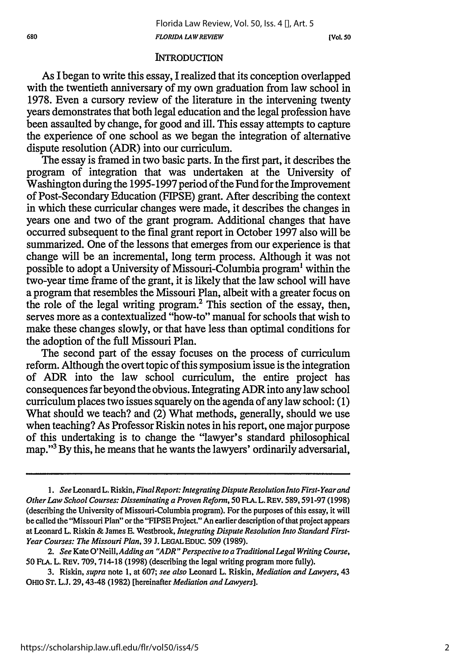#### **INTRODUCTION**

As I began to write this essay, I realized that its conception overlapped with the twentieth anniversary of my own graduation from law school in 1978. Even a cursory review of the literature in the intervening twenty years demonstrates that both legal education and the legal profession have been assaulted by change, for good and ill. This essay attempts to capture the experience of one school as we began the integration of alternative dispute resolution (ADR) into our curriculum.

The essay is framed in two basic parts. In the first part, it describes the program of integration that was undertaken at the University of Washington during the 1995-1997 period of the Fund for the Improvement of Post-Secondary Education (FIPSE) grant. After describing the context in which these curricular changes were made, it describes the changes in years one and two of the grant program. Additional changes that have occurred subsequent to the final grant report in October 1997 also will be summarized. One of the lessons that emerges from our experience is that change will be an incremental, long term process. Although it was not possible to adopt a University of Missouri-Columbia program' within the two-year time frame of the grant, it is likely that the law school will have a program that resembles the Missouri Plan, albeit with a greater focus on the role of the legal writing program.<sup>2</sup> This section of the essay, then, serves more as a contextualized "how-to" manual for schools that wish to make these changes slowly, or that have less than optimal conditions for the adoption of the full Missouri Plan.

The second part of the essay focuses on the process of curriculum reform. Although the overt topic of this symposium issue is the integration of ADR into the law school curriculum, the entire project has consequences far beyond the obvious. Integrating ADR into any law school curriculum places two issues squarely on the agenda of any law school: (1) What should we teach? and (2) What methods, generally, should we use when teaching? As Professor Riskin notes in his report, one major purpose of this undertaking is to change the "lawyer's standard philosophical map."3 By this, he means that he wants the lawyers' ordinarily adversarial,

<sup>1.</sup> See Leonard L. Riskin, *Final Report: Integrating Dispute Resolution Into First-Year and Other Law School Courses: Disseminating a Proven Reform, 50* **FLA.** L. REV. **589,591-97 (1998)** (describing the University of Missouri-Columbia program). For the purposes of this essay, it will be called the "Missouri Plan" or the "FIPSE Project." An earlier description of that project appears at Leonard L. Riskin & James E. Westbrook, *Integrating Dispute Resolution Into Standard First-Year Courses: The Missouri Plan,* 39 J. **LEGAL** EDUC. 509 (1989).

*<sup>2.</sup> See* Kate *O'Neill, Adding an "ADR" Perspective to a Traditional Legal Writing Course,* 50 FLA. L. REv. 709, 714-18 (1998) (describing the legal writing program more fully).

<sup>3.</sup> Riskin, *supra* note 1, at **607;** *see also* Leonard L. Riskin, *Mediation and Lawyers,* 43 OHIO **ST.** L.J. 29, 43-48 (1982) [hereinafter *Mediation and Lawyers].*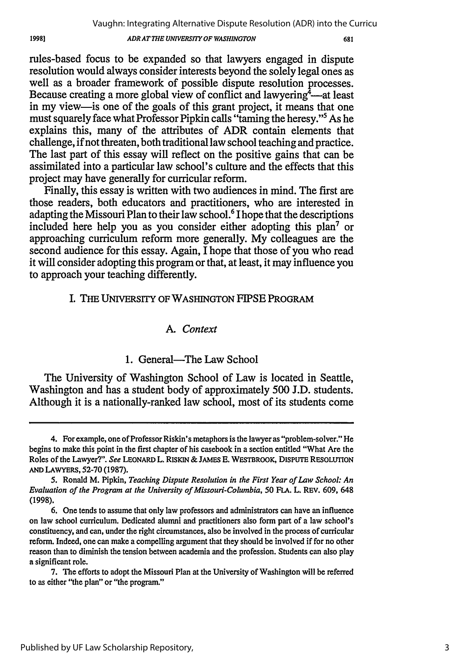#### *ADR AT THE UNIVERSIT OF WASHINGTON*

681

rules-based focus to be expanded so that lawyers engaged in dispute resolution would always consider interests beyond the solely legal ones as well as a broader framework of possible dispute resolution processes. Because creating a more global view of conflict and lawyering  $\frac{4}{3}$ —at least in my view-is one of the goals of this grant project, it means that one must squarely face what Professor Pipkin calls "taming the heresy."5 As he explains this, many of the attributes of ADR contain elements that challenge, if not threaten, both traditional law school teaching and practice. The last part of this essay will reflect on the positive gains that can be assimilated into a particular law school's culture and the effects that this project may have generally for curricular reform.

Finally, this essay is written with two audiences in mind. The first are those readers, both educators and practitioners, who are interested in adapting the Missouri Plan to their law school.<sup>6</sup> I hope that the descriptions included here help you as you consider either adopting this plan7 or approaching curriculum reform more generally. My colleagues are the second audience for this essay. Again, I hope that those of you who read it will consider adopting this program or that, at least, it may influence you to approach your teaching differently.

### I. THE UNIVERSITY OF WASHINGTON FIPSE PROGRAM

## *A. Context*

### 1. General—The Law School

The University of Washington School of Law is located in Seattle, Washington and has a student body of approximately 500 J.D. students. Although it is a nationally-ranked law school, most of its students come

<sup>4.</sup> For example, one of Professor Riskin's metaphors is the lawyer as "problem-solver." He begins to make this point in the first chapter of his casebook in a section entitled "What Are the Roles of the Lawyer?". *See* LEONARD L. RISKIN & JAMES **E.** WESTBROOK, DISPUTE RESOLUTION **AND** LAWYERS, 52-70 (1987).

<sup>5.</sup> Ronald M. Pipkin, *Teaching Dispute Resolution in the First Year of Law School: An Evaluation of the Program at the University of Missouri-Columbia, 50* FLA. L. REV. 609, 648 (1998).

<sup>6.</sup> One tends to assume that only law professors and administrators can have an influence on law school curriculum. Dedicated alumni and practitioners also form part of a law school's constituency, and can, under the right circumstances, also be involved in the process of curricular reform. Indeed, one can make a compelling argument that they should be involved if for no other reason than to diminish the tension between academia and the profession. Students can also play a significant role.

<sup>7.</sup> The efforts to adopt the Missouri Plan at the University of Washington will be referred to as either "the plan" or "the program."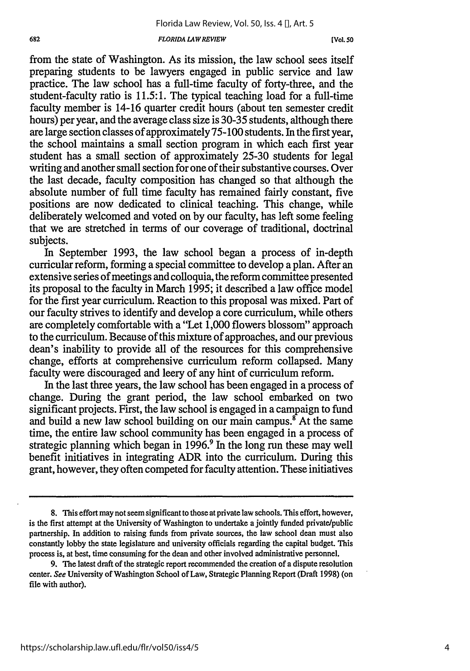from the state of Washington. As its mission, the law school sees itself preparing students to be lawyers engaged in public service and law practice. The law school has a full-time faculty of forty-three, and the student-faculty ratio is 11.5:1. The typical teaching load for a full-time faculty member is 14-16 quarter credit hours (about ten semester credit hours) per year, and the average class size is 30-35 students, although there are large section classes of approximately 75-100 students. In the first year, the school maintains a small section program in which each first year student has a small section of approximately 25-30 students for legal writing and another small section for one of their substantive courses. Over the last decade, faculty composition has changed so that although the absolute number of full time faculty has remained fairly constant, five positions are now dedicated to clinical teaching. This change, while deliberately welcomed and voted on by our faculty, has left some feeling that we are stretched in terms of our coverage of traditional, doctrinal subjects.

In September 1993, the law school began a process of in-depth curricular reform, forming a special committee to develop a plan. After an extensive series of meetings and colloquia, the reform committee presented its proposal to the faculty in March 1995; it described a law office model for the first year curriculum. Reaction to this proposal was mixed. Part of our faculty strives to identify and develop a core curriculum, while others are completely comfortable with a "Let 1,000 flowers blossom" approach to the curriculum. Because of this mixture of approaches, and our previous dean's inability to provide all of the resources for this comprehensive change, efforts at comprehensive curriculum reform collapsed. Many faculty were discouraged and leery of any hint of curriculum reform.

In the last three years, the law school has been engaged in a process of change. During the grant period, the law school embarked on two significant projects. First, the law school is engaged in a campaign to fund and build a new law school building on our main campus.<sup>8</sup> At the same time, the entire law school community has been engaged in a process of strategic planning which began in  $1996<sup>9</sup>$  In the long run these may well benefit initiatives in integrating ADR into the curriculum. During this grant, however, they often competed for faculty attention. These initiatives

**<sup>8.</sup>** This effort may not seem significant to those at private law schools. This effort, however, is the first attempt at the University of Washington to undertake a jointly funded private/public partnership. In addition to raising funds from private sources, the law school dean must also constantly lobby the state legislature and university officials regarding the capital budget. This process is, at best, time consuming for the dean and other involved administrative personnel.

<sup>9.</sup> The latest draft of the strategic report recommended the creation of a dispute resolution center. See University of Washington School of Law, Strategic Planning Report (Draft 1998) (on file with author).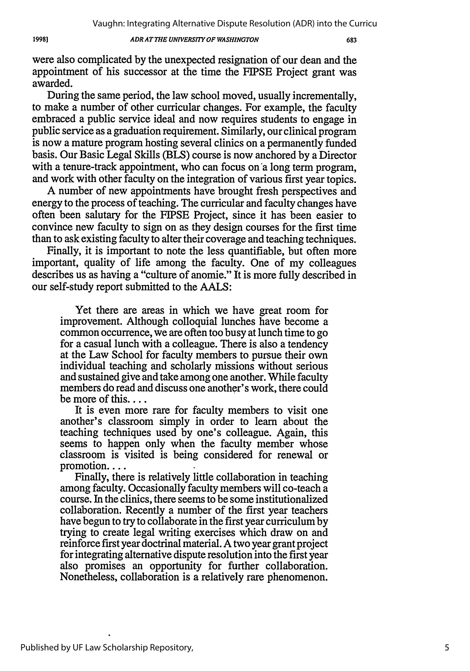#### *ADRAT THE UNIVERSITYOF WASHINGTON*

683

were also complicated by the unexpected resignation of our dean and the appointment of his successor at the time the FIPSE Project grant was awarded.

During the same period, the law school moved, usually incrementally, to make a number of other curricular changes. For example, the faculty embraced a public service ideal and now requires students to engage in public service as a graduation requirement. Similarly, our clinical program is now a mature program hosting several clinics on a permanently funded basis. Our Basic Legal Skills (BLS) course is now anchored by a Director with a tenure-track appointment, who can focus on a long term program. and work with other faculty on the integration of various first year topics.

A number of new appointments have brought fresh perspectives and energy to the process of teaching. The curricular and faculty changes have often been salutary for the FIPSE Project, since it has been easier to convince new faculty to sign on as they design courses for the first time than to ask existing faculty to alter their coverage and teaching techniques.

Finally, it is important to note the less quantifiable, but often more important, quality of life among the faculty. One of my colleagues describes us as having a "culture of anomie." It is more fully described in our self-study report submitted to the **AALS:**

Yet there are areas in which we have great room for improvement. Although colloquial lunches have become a common occurrence, we are often too busy at lunch time to go for a casual lunch with a colleague. There is also a tendency at the Law School for faculty members to pursue their own individual teaching and scholarly missions without serious and sustained give and take among one another. While faculty members do read and discuss one another's work, there could be more of this....

It is even more rare for faculty members to visit one another's classroom simply in order to learn about the teaching techniques used by one's colleague. Again, this seems to happen only when the faculty member whose classroom is visited is being considered for renewal or promotion....

Finally, there is relatively little collaboration in teaching among faculty. Occasionally faculty members will co-teach a course. In the clinics, there seems to be some institutionalized collaboration. Recently a number of the first year teachers have begun to try to collaborate in the first year curriculum by trying to create legal writing exercises which draw on and reinforce first year doctrinal material. A two year grant project for integrating alternative dispute resolution into the first year also promises an opportunity for further collaboration. Nonetheless, collaboration is a relatively rare phenomenon.

19981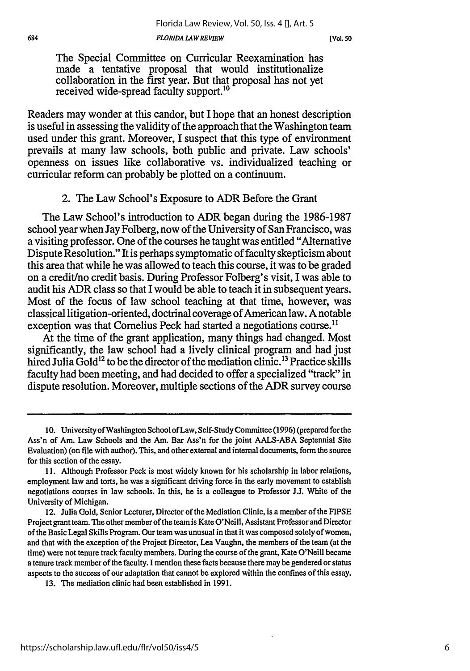The Special Committee on Curricular Reexamination has made a tentative proposal that would institutionalize collaboration in the first year. But that proposal has not yet received wide-spread faculty support.'0

Readers may wonder at this candor, but I hope that an honest description is useful in assessing the validity of the approach that the Washington team used under this grant. Moreover, I suspect that this type of environment prevails at many law schools, both public and private. Law schools' openness on issues like collaborative vs. individualized teaching or curricular reform can probably be plotted on a continuum.

## 2. The Law School's Exposure to ADR Before the Grant

The Law School's introduction to ADR began during the 1986-1987 school year when Jay Folberg, now of the University of San Francisco, was a visiting professor. One of the courses he taught was entitled "Alternative Dispute Resolution." It is perhaps symptomatic of faculty skepticism about this area that while he was allowed to teach this course, it was to be graded on a credit/no credit basis. During Professor Folberg's visit, I was able to audit his ADR class so that I would be able to teach it in subsequent years. Most of the focus of law school teaching at that time, however, was classical litigation-oriented, doctrinal coverage of American law. A notable exception was that Cornelius Peck had started a negotiations course.<sup>11</sup>

At the time of the grant application, many things had changed. Most significantly, the law school had a lively clinical program and had just hired Julia Gold<sup>12</sup> to be the director of the mediation clinic.<sup>13</sup> Practice skills faculty had been meeting, and had decided to offer a specialized "track" in dispute resolution. Moreover, multiple sections of the ADR survey course

**<sup>10.</sup>** University of Washington School of Law, Self-Study Committee (1996) (prepared for the Ass'n of Am. Law Schools and the Am. Bar Ass'n for the joint AALS-ABA Septennial Site Evaluation) (on file with author). This, and other external and internal documents, form the source for this section of the essay.

<sup>11.</sup> Although Professor Peck is most widely known for his scholarship in labor relations, employment law and torts, he was a significant driving force in the early movement to establish negotiations courses in law schools. In this, he is a colleague to Professor **J.J.** White of the University of Michigan.

<sup>12.</sup> Julia Gold, Senior Lecturer, Director of the Mediation Clinic, is a member of the **FIPSE** Project grant team. The other member of the team is Kate O'Neill, Assistant Professor and Director of the Basic Legal Skills Program. Our team was unusual in that it was composed solely of women, and that with the exception of the Project Director, Lea Vaughn, the members of the team (at the time) were not tenure track faculty members. During the course of the grant, Kate O'Neill became a tenure track member of the faculty. I mention these facts because there may be gendered or status aspects to the success of our adaptation that cannot be explored within the confines of this essay.

<sup>13.</sup> The mediation clinic had been established in 1991.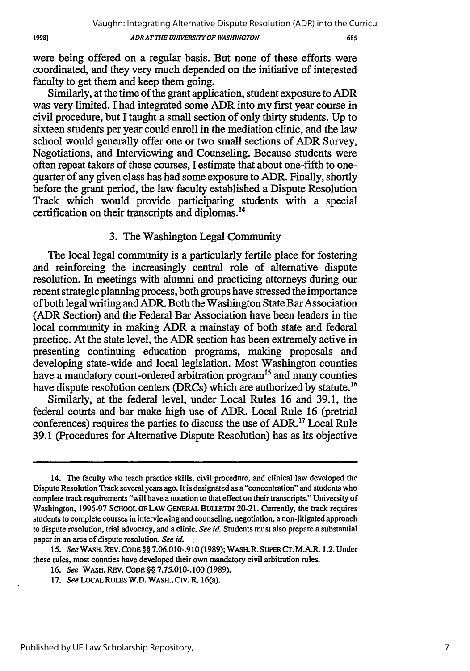19981

*ADR AT THE UNIVERSITY OF WASHINGTON*

were being offered on a regular basis. But none of these efforts were coordinated, and they very much depended on the initiative of interested faculty to get them and keep them going.

Similarly, at the time of the grant application, student exposure to ADR was very limited. I had integrated some ADR into my first year course in civil procedure, but I taught a small section of only thirty students. Up to sixteen students per year could enroll in the mediation clinic, and the law school would generally offer one or two small sections of ADR Survey, Negotiations, and Interviewing and Counseling. Because students were often repeat takers of these courses, I estimate that about one-fifth to onequarter of any given class has had some exposure to ADR. Finally, shortly before the grant period, the law faculty established a Dispute Resolution Track which would provide participating students with a special certification on their transcripts and diplomas. <sup>14</sup>

# 3. The Washington Legal Community

The local legal community is a particularly fertile place for fostering and reinforcing the increasingly central role of alternative dispute resolution. In meetings with alumni and practicing attorneys during our recent strategic planning process, both groups have stressed the importance of both legal writing and ADR. Both the Washington State Bar Association (ADR Section) and the Federal Bar Association have been leaders in the local community in making ADR a mainstay of both state and federal practice. At the state level, the ADR section has been extremely active in presenting continuing education programs, making proposals and developing state-wide and local legislation. Most Washington counties have a mandatory court-ordered arbitration program<sup>15</sup> and many counties have dispute resolution centers (DRCs) which are authorized by statute.<sup>16</sup>

Similarly, at the federal level, under Local Rules 16 and 39.1, the federal courts and bar make high use of ADR. Local Rule 16 (pretrial conferences) requires the parties to discuss the use of ADR."7 Local Rule 39.1 (Procedures for Alternative Dispute Resolution) has as its objective

<sup>14.</sup> The faculty who teach practice skills, civil procedure, and clinical law developed the Dispute Resolution Track several years ago. It is designated as a "concentration" and students who complete track requirements "will have a notation to that effect on their transcripts." University of Washington, 1996-97 **SCHOOL** OF LAW **GENERAL** BULLETIN 20-21. Currently, the track requires students to complete courses in interviewing and counseling, negotiation, a non-litigated approach to dispute resolution, trial advocacy, and a clinic. *See id.* Students must also prepare a substantial paper in an area of dispute resolution. *See id.*

*<sup>15.</sup> See* WASH. REV. **CODE** §§ 7.06.010-.910 (1989); WASH. R. SUPER Cr. M.A.R. 1.2. Under these rules, most counties have developed their own mandatory civil arbitration rules.

<sup>16.</sup> *See* WASH. REV. **CODE** §§ 7.75.010-.100 (1989).

*<sup>17.</sup> See* **LOCAL** RULES W.D. WASH., **Civ.** R. 16(a).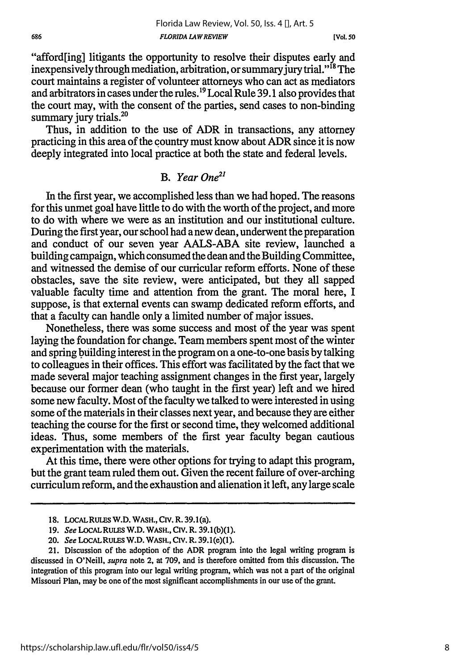"afford[ing] litigants the opportunity to resolve their disputes early and inexpensively through mediation, arbitration, or summary jury trial."<sup>18</sup> The court maintains a register of volunteer attorneys who can act as mediators and arbitrators in cases under the rules.19 Local Rule 39.1 also provides that the court may, with the consent of the parties, send cases to non-binding summary jury trials.<sup>2</sup>

Thus, in addition to the use of ADR in transactions, any attorney practicing in this area of the country must know about ADR since it is now deeply integrated into local practice at both the state and federal levels.

# *B. Year One21*

In the first year, we accomplished less than we had hoped. The reasons for this unmet goal have little to do with the worth of the project, and more to do with where we were as an institution and our institutional culture. During the first year, our school had a new dean, underwent the preparation and conduct of our seven year AALS-ABA site review, launched a building campaign, which consumed the dean and the Building Committee, and witnessed the demise of our curricular reform efforts. None of these obstacles, save the site review, were anticipated, but they all sapped valuable faculty time and attention from the grant. The moral here, I suppose, is that external events can swamp dedicated reform efforts, and that a faculty can handle only a limited number of major issues.

Nonetheless, there was some success and most of the year was spent laying the foundation for change. Team members spent most of the winter and spring building interest in the program on a one-to-one basis by talking to colleagues in their offices. This effort was facilitated by the fact that we made several major teaching assignment changes in the first year, largely because our former dean (who taught in the first year) left and we hired some new faculty. Most of the faculty we talked to were interested in using some of the materials in their classes next year, and because they are either teaching the course for the first or second time, they welcomed additional ideas. Thus, some members of the first year faculty began cautious experimentation with the materials.

At this time, there were other options for trying to adapt this program, but the grant team ruled them out. Given the recent failure of over-arching curriculum reform, and the exhaustion and alienation it left, any large scale

**<sup>18.</sup>** LoCAL **RULES** W.D. WASH., **Cir.** R. 39.1(a).

**<sup>19.</sup>** *See* LOCALRULES W.D. WASH., *cv.* R. **39.1(b)(1).**

<sup>20.</sup> *See* **LOCALRULES** W.D. WASH., Civ. R. 39.1(e)(1).

<sup>21.</sup> Discussion of the adoption of the ADR program into the legal writing program is discussed in O'Neill, *supra* note 2, at 709, and is therefore omitted from this discussion. The integration of this program into our legal writing program, which was not a part of the original Missouri Plan, may be one of the most significant accomplishments in our use of the grant.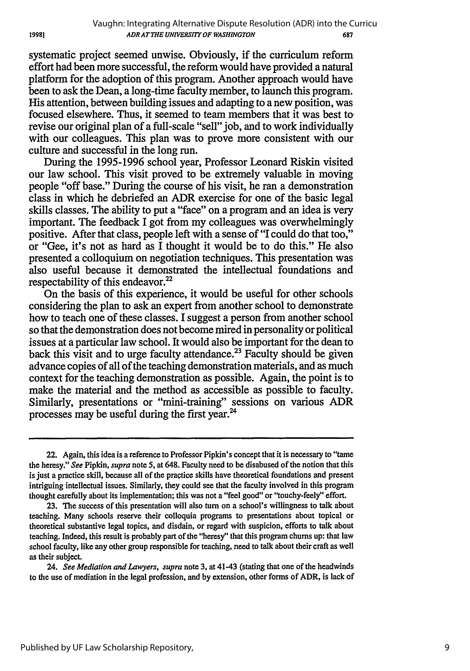systematic project seemed unwise. Obviously, if the curriculum reform effort had been more successful, the reform would have provided a natural platform for the adoption of this program. Another approach would have been to ask the Dean, a long-time faculty member, to launch this program. His attention, between building issues and adapting to a new position, was focused elsewhere. Thus, it seemed to team members that it was best to revise our original plan of a full-scale "sell" job, and to work individually with our colleagues. This plan was to prove more consistent with our culture and successful in the long run.

During the 1995-1996 school year, Professor Leonard Riskin visited our law school. This visit proved to be extremely valuable in moving people "off base." During the course of his visit, he ran a demonstration class in which he debriefed an ADR exercise for one of the basic legal skills classes. The ability to put a "face" on a program and an idea is very important. The feedback I got from my colleagues was overwhelmingly positive. After that class, people left with a sense of "I could do that too," or "Gee, it's not as hard as I thought it would be to do this." He also presented a colloquium on negotiation techniques. This presentation was also useful because it demonstrated the intellectual foundations and respectability of this endeavor.<sup>22</sup>

On the basis of this experience, it would be useful for other schools considering the plan to ask an expert from another school to demonstrate how to teach one of these classes. I suggest a person from another school so that the demonstration does not become mired in personality or political issues at a particular law school. It would also be important for the dean to back this visit and to urge faculty attendance.<sup>23</sup> Faculty should be given advance copies of all of the teaching demonstration materials, and as much context for the teaching demonstration as possible. Again, the point is to make the material and the method as accessible as possible to faculty. Similarly, presentations or "mini-training" sessions on various ADR processes may be useful during the first year.24

24. *See Mediation and Lawyers, supra* note 3, at 41-43 (stating that one of the headwinds to the use of mediation in the legal profession, and by extension, other forms of ADR, is lack of

19981

<sup>22.</sup> Again, this idea is a reference to Professor Pipkin's concept that it is necessary to "tame the heresy." *See* Pipkin, *supra* note **5,** at 648. Faculty need to be disabused of the notion that this is just a practice skill, because all of the practice skills have theoretical foundations and present intriguing intellectual issues. Similarly, they could see that the faculty involved in this program thought carefully about its implementation; this was not a "feel good" or "touchy-feely" effort.

**<sup>23.</sup> The** success of this presentation will also turn on a school's willingness to talk about teaching. Many schools reserve their colloquia programs to presentations about topical or theoretical substantive legal topics, and disdain, or regard with suspicion, efforts to talk about teaching. Indeed, this result is probably part of the "heresy" that this program churns up: that law school faculty, like any other group responsible for teaching, need to talk about their craft as well as their subject.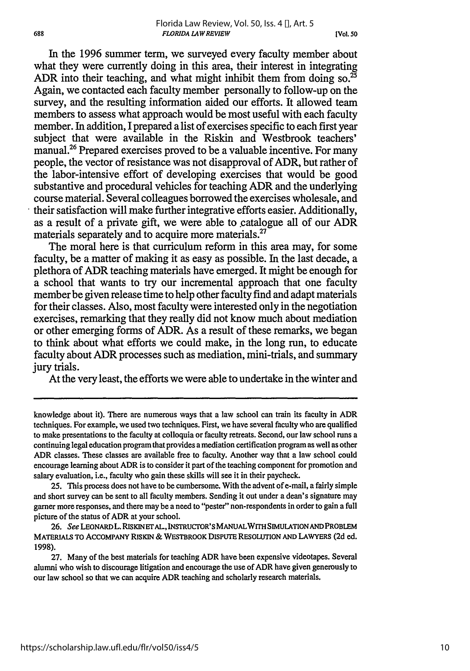In the 1996 summer term, we surveyed every faculty member about what they were currently doing in this area, their interest in integrating ADR into their teaching, and what might inhibit them from doing so.<sup>25</sup> Again, we contacted each faculty member personally to follow-up on the survey, and the resulting information aided our efforts. It allowed team members to assess what approach would be most useful with each faculty member. In addition, I prepared a list of exercises specific to each first year subject that were available in the Riskin and Westbrook teachers' manual.26 Prepared exercises proved to be a valuable incentive. For many people, the vector of resistance was not disapproval of ADR, but rather of the labor-intensive effort of developing exercises that would be good substantive and procedural vehicles for teaching ADR and the underlying course material. Several colleagues borrowed the exercises wholesale, and their satisfaction will make further integrative efforts easier. Additionally, as a result of a private gift, we were able to catalogue all of our ADR materials separately and to acquire more materials.<sup>27</sup>

The moral here is that curriculum reform in this area may, for some faculty, be a matter of making it as easy as possible. In the last decade, a plethora of ADR teaching materials have emerged. It might be enough for a school that wants to try our incremental approach that one faculty member be given release time to help other faculty find and adapt materials for their classes. Also, most faculty were interested only in the negotiation exercises, remarking that they really did not know much about mediation or other emerging forms of ADR. As a result of these remarks, we began to think about what efforts we could make, in the long run, to educate faculty about ADR processes such as mediation, mini-trials, and summary jury trials.

At the very least, the efforts we were able to undertake in the winter and

25. This process does not have to be cumbersome. With the advent of e-mail, a fairly simple and short survey can be sent to all faculty members. Sending it out under a dean's signature may garner more responses, and there may be a need to "pester" non-respondents in order to gain a full picture of the status of ADR at your school.

**26.** See LEONARDL. RISKINETAL, INSTRUCTOR'S MANUALWITH **SIMULATIONAND** PROBLEM **MATERIALS TO ACCOMPANY RISKIN & WESTBROOK DISPUTE RESOLUTION AND LAWYERS (2d ed. 1998).**

**27.** Many of the best materials for teaching ADR have been expensive videotapes. Several alumni who wish to discourage litigation and encourage the use of ADR have given generously to our law school so that we can acquire ADR teaching and scholarly research materials.

knowledge about it). There are numerous ways that a law school can train its faculty in ADR techniques. For example, we used two techniques. First, we have several faculty who are qualified to make presentations to the faculty at colloquia or faculty retreats. Second, our law school runs a continuing legal education program that provides a mediation certification program as well as other ADR classes. These classes are available free to faculty. Another way that a law school could encourage learning about ADR is to consider it part of the teaching component for promotion and salary evaluation, i.e., faculty who gain these skills will see it in their paycheck.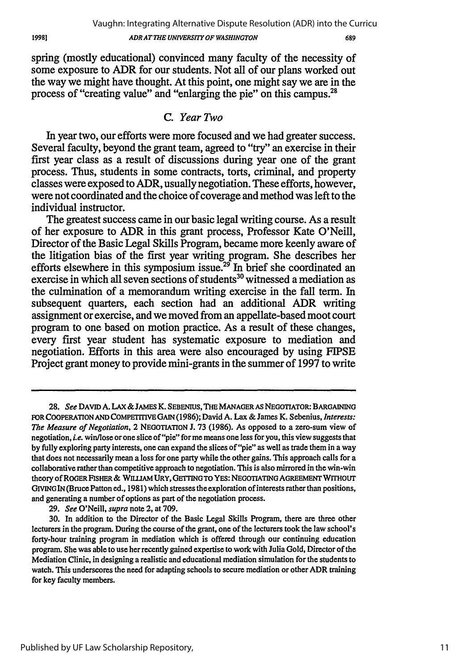spring (mostly educational) convinced many faculty of the necessity of some exposure to ADR for our students. Not all of our plans worked out the way we might have thought. At this point, one might say we are in the process of "creating value" and "enlarging the pie" on this campus.28

## *C. Year Two*

In year two, our efforts were more focused and we had greater success. Several faculty, beyond the grant team, agreed to "try" an exercise in their first year class as a result of discussions during year one of the grant process. Thus, students in some contracts, torts, criminal, and property classes were exposed to ADR, usually negotiation. These efforts, however, were not coordinated and the choice of coverage and method was left to the individual instructor.

The greatest success came in our basic legal writing course. As a result of her exposure to ADR in this grant process, Professor Kate O'Neill, Director of the Basic Legal Skills Program, became more keenly aware of the litigation bias of the first year writing program. She describes her efforts elsewhere in this symposium issue.<sup>29</sup> In brief she coordinated an exercise in which all seven sections of students<sup>30</sup> witnessed a mediation as the culmination of a memorandum writing exercise in the fall term. In subsequent quarters, each section had an additional ADR writing assignment or exercise, and we moved from an appellate-based moot court program to one based on motion practice. As a result of these changes, every first year student has systematic exposure to mediation and negotiation. Efforts in this area were also encouraged by using FIPSE Project grant money to provide mini-grants in the summer of 1997 to write

**29.** *See* O'Neill, *supra* note 2, at 709.

**<sup>28.</sup>** *See* **DAVID A. LAX &JAMES K. SEBENIUS, THE MANAGER** AS **NEGOTIATOR:** BARGAINING FOR COOPERATION **AND** COMPETITIVE **GAIN** (1986); David A. Lax & James K. Sebenius, *Interests: The Measure of Negotiation,* 2 **NEGOTIATION** J. 73 (1986). As opposed to a zero-sum view of negotiation, *i.e.* win/lose or one slice of "pie" for me means one less for you, this view suggests that **by** fully exploring party interests, one can expand the slices of "pie" as well as trade them in a way that does not necessarily mean a loss for one party while the other gains. This approach calls for a collaborative rather than competitive approach to negotiation. This is also mirrored in the win-win theory of ROGER FISHER & WILI.AM URY, **GETTING** TO YES: **NEGOTIATING AGREEMENT** WITHOUT GIVING **IN** (Bruce Patton ed., 1981) which stresses the exploration of interests rather than positions, and generating a number of options as part of the negotiation process.

<sup>30.</sup> In addition to the Director of the Basic Legal Skills Program, there are three other lecturers in the program. During the course of the grant, one of the lecturers took the law school's forty-hour training program in mediation which is offered through our continuing education program. She was able to use her recently gained expertise to work with Julia Gold, Director of the Mediation Clinic, in designing a realistic and educational mediation simulation for the students to watch. This underscores the need for adapting schools to secure mediation or other ADR training for key faculty members.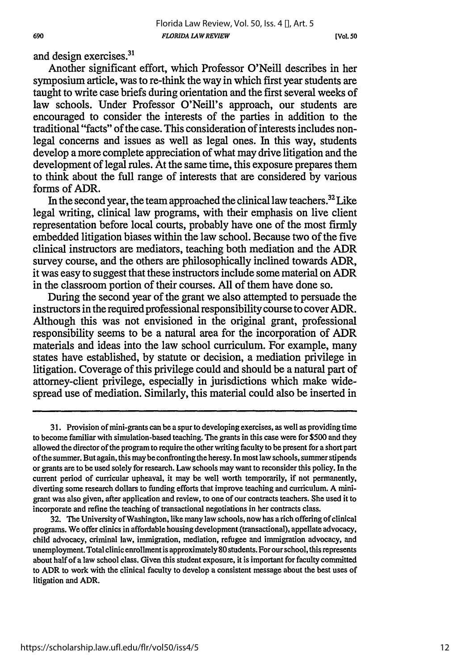and design exercises.<sup>31</sup>

Another significant effort, which Professor O'Neill describes in her symposium article, was to re-think the way in which first year students are taught to write case briefs during orientation and the first several weeks of law schools. Under Professor O'Neill's approach, our students are encouraged to consider the interests of the parties in addition to the traditional "facts" of the case. This consideration of interests includes nonlegal concerns and issues as well as legal ones. In this way, students develop a more complete appreciation of what may drive litigation and the development of legal rules. At the same time, this exposure prepares them to think about the full range of interests that are considered by various forms of ADR.

In the second year, the team approached the clinical law teachers.32 Like legal writing, clinical law programs, with their emphasis on live client representation before local courts, probably have one of the most firmly embedded litigation biases within the law school. Because two of the five clinical instructors are mediators, teaching both mediation and the ADR survey course, and the others are philosophically inclined towards ADR, it was easy to suggest that these instructors include some material on ADR in the classroom portion of their courses. All of them have done so.

During the second year of the grant we also attempted to persuade the instructors in the required professional responsibility course to cover ADR. Although this was not envisioned in the original grant, professional responsibility seems to be a natural area for the incorporation of ADR materials and ideas into the law school curriculum. For example, many states have established, by statute or decision, a mediation privilege in litigation. Coverage of this privilege could and should be a natural part of attorney-client privilege, especially in jurisdictions which make widespread use of mediation. Similarly, this material could also be inserted in

<sup>31.</sup> Provision of mini-grants can be a spur to developing exercises, as well as providing time to become familiar with simulation-based teaching. The grants in this case were for \$500 and they allowed the director of the program to require the other writing faculty to be present for a short part of the summer. But again, this may be confronting the heresy. In most law schools, summer stipends or grants are to be used solely for research. Law schools may want to reconsider this policy. In the current period of curricular upheaval, it may be well worth temporarily, if not permanently, diverting some research dollars to funding efforts that improve teaching and curriculum. A minigrant was also given, after application and review, to one of our contracts teachers. She used it to incorporate and refine the teaching of transactional negotiations in her contracts class.

<sup>32.</sup> The University of Washington, like many law schools, now has a rich offering of clinical programs. We offer clinics in affordable housing development (transactional), appellate advocacy, child advocacy, criminal law, immigration, mediation, refugee and immigration advocacy, and unemployment. Total clinic enrollment is approximately **80** students. Forourschool, this represents about half of a law school class. Given this student exposure, it is important for faculty committed to ADR to work with the clinical faculty to develop a consistent message about the best uses of litigation and ADR.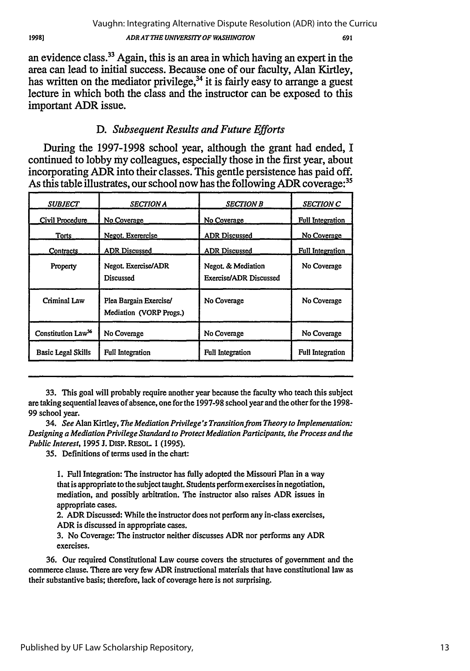Published by UF Law Scholarship Repository,

an evidence class.33 Again, this is an area in which having an expert in the area can lead to initial success. Because one of our faculty, Alan Kirtley, has written on the mediator privilege,<sup>34</sup> it is fairly easy to arrange a guest lecture in which both the class and the instructor can be exposed to this important ADR issue.

# *D. Subsequent Results and Future Efforts*

During the 1997-1998 school year, although the grant had ended, I continued to lobby my colleagues, especially those in the first year, about incorporating ADR into their classes. This gentle persistence has paid off. As this table illustrates, our school now has the following ADR coverage:<sup>35</sup>

| <b>SUBJECT</b>                 | <b>SECTION A</b>                                  | <b>SECTION B</b>                             | <b>SECTION C</b>        |
|--------------------------------|---------------------------------------------------|----------------------------------------------|-------------------------|
| Civil Procedure                | No Coverage                                       | No Coverage                                  | <b>Full Integration</b> |
| Torts                          | Negot. Exerercise                                 | <b>ADR Discussed</b>                         | No Coverage             |
| Contracts                      | <b>ADR Discussed</b>                              | <b>ADR Discussed</b>                         | <b>Full Integration</b> |
| Property                       | Negot. Exercise/ADR<br>Discussed                  | Negot. & Mediation<br>Exercise/ADR Discussed | No Coverage             |
| Criminal Law                   | Plea Bargain Exercise/<br>Mediation (VORP Progs.) | No Coverage                                  | No Coverage             |
| Constitution Law <sup>36</sup> | No Coverage                                       | No Coverage                                  | No Coverage             |
| <b>Basic Legal Skills</b>      | Full Integration                                  | <b>Full Integration</b>                      | <b>Full Integration</b> |

**33.** This goal will probably require another year because the faculty who teach this subject are taking sequential leaves of absence, one for the **1997-98** school year and the other for the **1998-** 99 school year.

34. *See* Alan Kirtley, *The Mediation Privilege's Transition from Theory to Implementation: Designing a Mediation Privilege Standard to Protect Mediation Participants, the Process and the Public Interest,* **1995 J. DISP.** RESOL **1 (1995).**

*35.* Definitions of terms used in the chart:

**1.** Full Integration: The instructor has fully adopted the Missouri Plan in a way that is appropriate to the subject taught. Students perform exercises in negotiation, mediation, and possibly arbitration. The instructor also raises ADR issues in appropriate cases.

2. ADR Discussed: While the instructor does not perform any in-class exercises, ADR is discussed in appropriate cases.

**3.** No Coverage: The instructor neither discusses ADR nor performs any ADR exercises.

**36.** Our required Constitutional Law course covers the structures of government and the commerce clause. **There** are very few ADR instructional materials that have constitutional law as their substantive basis; therefore, lack of coverage here is not surprising.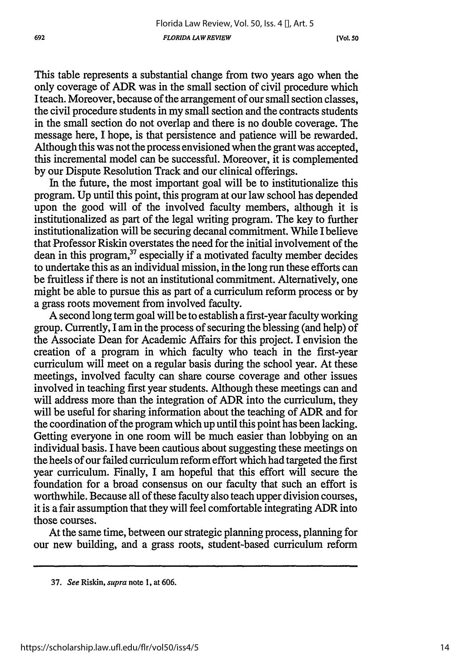This table represents a substantial change from two years ago when the only coverage of ADR was in the small section of civil procedure which **I** teach. Moreover, because of the arrangement of our small section classes, the civil procedure students in my small section and the contracts students in the small section do not overlap and there is no double coverage. The message here, I hope, is that persistence and patience will be rewarded. Although this was not the process envisioned when the grant was accepted, this incremental model can be successful. Moreover, it is complemented by our Dispute Resolution Track and our clinical offerings.

In the future, the most important goal will be to institutionalize this program. Up until this point, this program at our law school has depended upon the good will of the involved faculty members, although it is institutionalized as part of the legal writing program. The key to further institutionalization will be securing decanal commitment. While I believe that Professor Riskin overstates the need for the initial involvement of the dean in this program,<sup>37</sup> especially if a motivated faculty member decides to undertake this as an individual mission, in the long run these efforts can be fruitless if there is not an institutional commitment. Alternatively, one might be able to pursue this as part of a curriculum reform process or by a grass roots movement from involved faculty.

A second long term goal will be to establish a first-year faculty working group. Currently, I am in the process of securing the blessing (and help) of the Associate Dean for Academic Affairs for this project. I envision the creation of a program in which faculty who teach in the first-year curriculum will meet on a regular basis during the school year. At these meetings, involved faculty can share course coverage and other issues involved in teaching first year students. Although these meetings can and will address more than the integration of ADR into the curriculum, they will be useful for sharing information about the teaching of ADR and for the coordination of the program which up until this point has been lacking. Getting everyone in one room will be much easier than lobbying on an individual basis. I have been cautious about suggesting these meetings on the heels of our failed curriculum reform effort which had targeted the first year curriculum. Finally, I am hopeful that this effort will secure the foundation for a broad consensus on our faculty that such an effort is worthwhile. Because all of these faculty also teach upper division courses, it is a fair assumption that they will feel comfortable integrating ADR into those courses.

At the same time, between our strategic planning process, planning for our new building, and a grass roots, student-based curriculum reform

**<sup>37.</sup>** *See* Riskin, *supra* note 1, at **606.**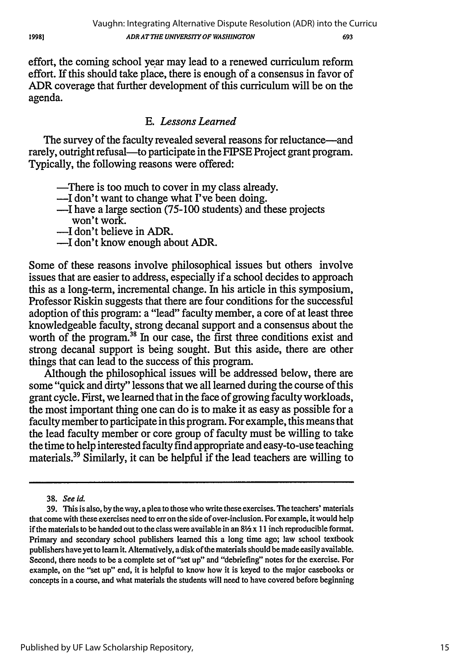effort, the coming school year may lead to a renewed curriculum reform effort. If this should take place, there is enough of a consensus in favor of ADR coverage that further development of this curriculum will be on the agenda.

# *E. Lessons Learned*

The survey of the faculty revealed several reasons for reluctance—and rarely, outright refusal-to participate in the FIPSE Project grant program. Typically, the following reasons were offered:

- -There is too much to cover in my class already.
- -I don't want to change what I've been doing.
- -I have a large section (75-100 students) and these projects won't work.
- -I don't believe in ADR.
- -I don't know enough about ADR.

Some of these reasons involve philosophical issues but others involve issues that are easier to address, especially if a school decides to approach this as a long-term, incremental change. In his article in this symposium, Professor Riskin suggests that there are four conditions for the successful adoption of this program: a "lead" faculty member, a core of at least three knowledgeable faculty, strong decanal support and a consensus about the worth of the program.<sup>38</sup> In our case, the first three conditions exist and strong decanal support is being sought. But this aside, there are other things that can lead to the success of this program.

Although the philosophical issues will be addressed below, there are some "quick and dirty" lessons that we all learned during the course of this grant cycle. First, we learned that in the face of growing faculty workloads, the most important thing one can do is to make it as easy as possible for a faculty member to participate in this program. For example, this means that the lead faculty member or core group of faculty must be willing to take the time to help interested faculty find appropriate and easy-to-use teaching materials.39 Similarly, it can be helpful if the lead teachers are willing to

**<sup>38.</sup>** See id.

<sup>39.</sup> This is also, by the way, a plea to those who write these exercises. The teachers' materials that come with these exercises need to err on the side of over-inclusion. For example, it would help if the materials to be handed out to the class were available in an  $8\frac{1}{2} \times 11$  inch reproducible format. Primary and secondary school publishers learned this a long time ago; law school textbook publishers have yet to learn it. Alternatively, a disk of the materials should be made easily available. Second, there needs to be a complete set of "set up" and "debriefing" notes for the exercise. For example, on the "set up" end, it is helpful to know how it is keyed to the major casebooks or concepts in a course, and what materials the students will need to have covered before beginning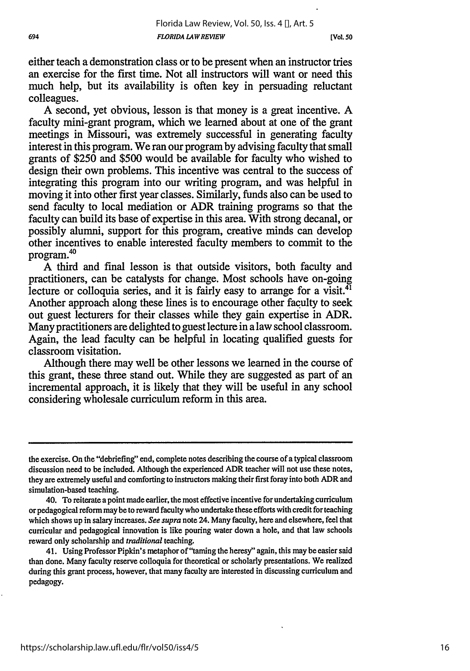**[Vol. 50**

either teach a demonstration class or to be present when an instructor tries an exercise for the first time. Not all instructors will want or need this much help, but its availability is often key in persuading reluctant colleagues.

A second, yet obvious, lesson is that money is a great incentive. A faculty mini-grant program, which we learned about at one of the grant meetings in Missouri, was extremely successful in generating faculty interest in this program. We ran our program by advising faculty that small grants of \$250 and \$500 would be available for faculty who wished to design their own problems. This incentive was central to the success of integrating this program into our writing program, and was helpful in moving it into other first year classes. Similarly, funds also can be used to send faculty to local mediation or ADR training programs so that the faculty can build its base of expertise in this area. With strong decanal, or possibly alumni, support for this program, creative minds can develop other incentives to enable interested faculty members to commit to the program.<sup>40</sup>

A third and final lesson is that outside visitors, both faculty and practitioners, can be catalysts for change. Most schools have on-going lecture or colloquia series, and it is fairly easy to arrange for a visit. $41$ Another approach along these lines is to encourage other faculty to seek out guest lecturers for their classes while they gain expertise in ADR. Many practitioners are delighted to guest lecture in a law school classroom. Again, the lead faculty can be helpful in locating qualified guests for classroom visitation.

Although there may well be other lessons we learned in the course of this grant, these three stand out. While they are suggested as part of an incremental approach, it is likely that they will be useful in any school considering wholesale curriculum reform in this area.

the exercise. On the "debriefing" end, complete notes describing the course of a typical classroom discussion need to be included. Although the experienced ADR teacher will not use these notes, they are extremely useful and comforting to instructors making their first foray into both ADR and simulation-based teaching.

<sup>40.</sup> To reiterate a point made earlier, the most effective incentive for undertaking curriculum or pedagogical reform may be to reward faculty who undertake these efforts with credit for teaching which shows up in salary increases. *See supra* note 24. Many faculty, here and elsewhere, feel that curricular and pedagogical innovation is like pouring water down a hole, and that law schools reward only scholarship and *traditional* teaching.

<sup>41.</sup> Using Professor Pipkin's metaphor of "taming the heresy" again, this may be easier said than done. Many faculty reserve colloquia for theoretical or scholarly presentations. We realized during this grant process, however, that many faculty are interested in discussing curriculum and pedagogy.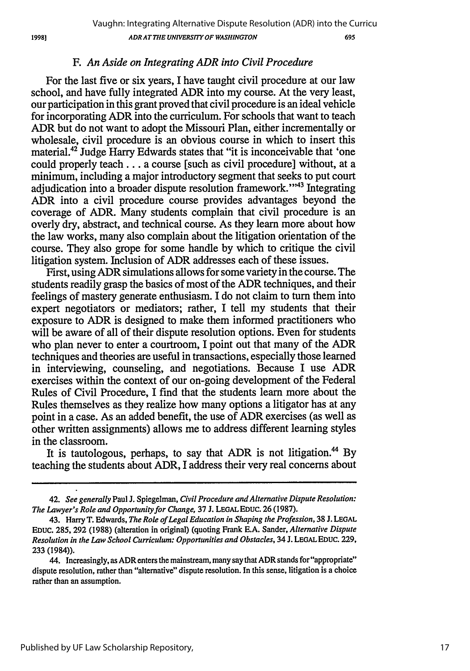# F. *An Aside on Integrating ADR into Civil Procedure*

For the last five or six years, I have taught civil procedure at our law school, and have fully integrated ADR into my course. At the very least, our participation in this grant proved that civil procedure is an ideal vehicle for incorporating ADR into the curriculum. For schools that want to teach ADR but do not want to adopt the Missouri Plan, either incrementally or wholesale, civil procedure is an obvious course in which to insert this material.42 Judge Harry Edwards states that "it is inconceivable that 'one could properly teach.., a course [such as civil procedure] without, at a minimum, including a major introductory segment that seeks to put court adjudication into a broader dispute resolution framework."<sup>43</sup> Integrating ADR into a civil procedure course provides advantages beyond the coverage of ADR. Many students complain that civil procedure is an overly dry, abstract, and technical course. As they learn more about how the law works, many also complain about the litigation orientation of the course. They also grope for some handle by which to critique the civil litigation system. Inclusion of ADR addresses each of these issues.

First, using ADR simulations allows for some variety in the course. The students readily grasp the basics of most of the ADR techniques, and their feelings of mastery generate enthusiasm. I do not claim to turn them into expert negotiators or mediators; rather, I tell my students that their exposure to ADR is designed to make them informed practitioners who will be aware of all of their dispute resolution options. Even for students who plan never to enter a courtroom, I point out that many of the ADR techniques and theories are useful in transactions, especially those learned in interviewing, counseling, and negotiations. Because I use ADR exercises within the context of our on-going development of the Federal Rules of Civil Procedure, I find that the students learn more about the Rules themselves as they realize how many options a litigator has at any point in a case. As an added benefit, the use of ADR exercises (as well as other written assignments) allows me to address different learning styles in the classroom.

It is tautologous, perhaps, to say that ADR is not litigation.<sup>44</sup> By teaching the students about ADR, I address their very real concerns about

<sup>42.</sup> *See generally* Paul J. Spiegelman, *Civil Procedure and Alternative Dispute Resolution: The Lawyer's Role and Opportunity for Change,* 37 **J. LEGAL EDUC.** 26 (1987).

<sup>43.</sup> Harry T. Edwards, *The Role of Legal Education in Shaping the Profession, 38* **J. LEGAL EDUC.** 285, 292 (1988) (alteration in original) (quoting Frank E.A. Sander, *Alternative Dispute Resolution in the Law School Curriculum: Opportunities and Obstacles,* 34 **J.** LEGALEDUc. 229, 233 (1984)).

<sup>44.</sup> Increasingly, as ADR enters the mainstream, many say that ADR stands for "appropriate" dispute resolution, rather than "alternative" dispute resolution. In this sense, litigation is a choice rather than an assumption.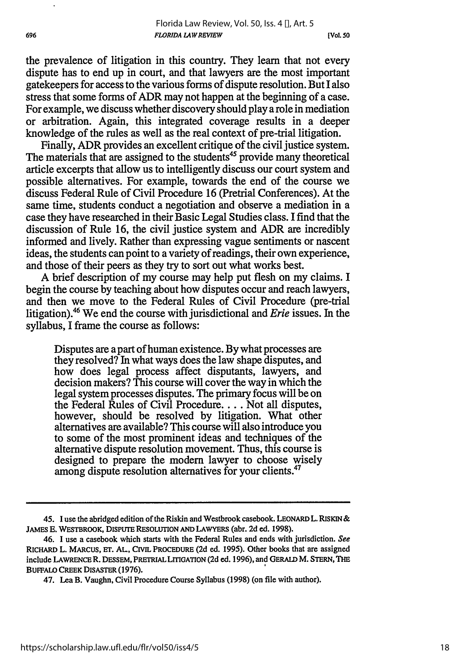**[Vol. so**

the prevalence of litigation in this country. They learn that not every dispute has to end up in court, and that lawyers are the most important gatekeepers for access to the various forms of dispute resolution. But I also stress that some forms of ADR may not happen at the beginning of a case. For example, we discuss whether discovery should play a role in mediation or arbitration. Again, this integrated coverage results in a deeper knowledge of the rules as well as the real context of pre-trial litigation.

Finally, ADR provides an excellent critique of the civil justice system. The materials that are assigned to the students<sup>45</sup> provide many theoretical article excerpts that allow us to intelligently discuss our court system and possible alternatives. For example, towards the end of the course we discuss Federal Rule of Civil Procedure 16 (Pretrial Conferences). At the same time, students conduct a negotiation and observe a mediation in a case they have researched in their Basic Legal Studies class. I find that the discussion of Rule 16, the civil justice system and ADR are incredibly informed and lively. Rather than expressing vague sentiments or nascent ideas, the students can point to a variety of readings, their own experience, and those of their peers as they try to sort out what works best.

A brief description of my course may help put flesh on my claims. I begin the course by teaching about how disputes occur and reach lawyers, and then we move to the Federal Rules of Civil Procedure (pre-trial litigation).46 We end the course with jurisdictional and *Erie* issues. In the syllabus, I frame the course as follows:

Disputes are apart of human existence. By what processes are they resolved? In what ways does the law shape disputes, and how does legal process affect disputants, lawyers, and decision makers? This course will cover the way in which the legal system processes disputes. The primary focus will be on the Federal Rules of Civil Procedure .... Not all disputes, however, should be resolved by litigation. What other alternatives are available? This course will also introduce you to some of the most prominent ideas and techniques of the alternative dispute resolution movement. Thus, this course is designed to prepare the modem lawyer to choose wisely among dispute resolution alternatives for your clients.<sup>47</sup>

**<sup>45.</sup>** I use the abridged edition of the Riskin and Westbrook casebook. LEONARD L. RISKIN& **JAMES E.** WESTBROOK, DISPUTE RESOLUTION **AND** LAWYERS (abr. **2d** ed. 1998).

<sup>46.</sup> I use a casebook which starts with the Federal Rules and ends with jurisdiction. See RICHARD L. MARCUS, **ET.** AL, CIVIL PROCEDURE **(2d** ed. 1995). Other books that are assigned include LAWRENCE R. **DESSEM,** PRETRIALLITIGATION **(2d** ed. **1996),** and GERALD M. **STERN, THE** BUFFALO CREEK DISASTER (1976).

<sup>47.</sup> Lea B. Vaughn, Civil Procedure Course Syllabus (1998) (on file with author).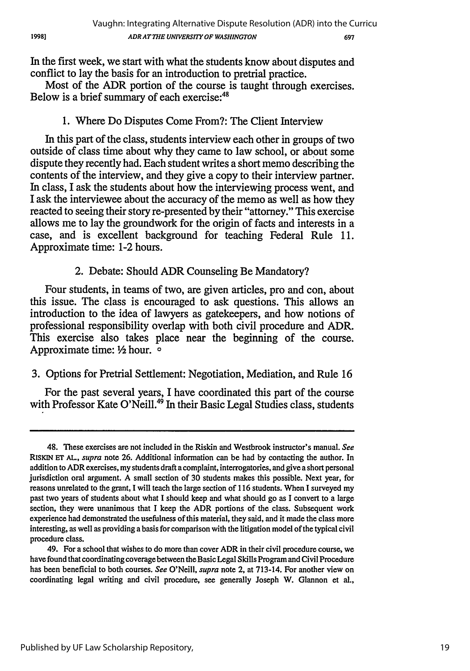In the *first* week, we start with what the students know about disputes and conflict to lay the basis for an introduction to pretrial practice.

Most of the ADR portion of the course is taught through exercises. Below is a brief summary of each exercise:<sup>4</sup>

# 1. Where Do Disputes Come From?: The Client Interview

In this part of the class, students interview each other in groups of two outside of class time about why they came to law school, or about some dispute they recently had. Each student writes a short memo describing the contents of the interview, and they give a copy to their interview partner. In class, I ask the students about how the interviewing process went, and I ask the interviewee about the accuracy of the memo as well as how they reacted to seeing their story re-presented by their "attorney." This exercise allows me to lay the groundwork for the origin of facts and interests in a case, and is excellent background for teaching Federal Rule 11. Approximate time: 1-2 hours.

# 2. Debate: Should ADR Counseling Be Mandatory?

Four students, in teams of two, are given articles, pro and con, about this issue. The class is encouraged to ask questions. This allows an introduction to the idea of lawyers as gatekeepers, and how notions of professional responsibility overlap with both civil procedure and ADR. This exercise also takes place near the beginning of the course. Approximate time: **2** hour. o

# 3. Options for Pretrial Settlement: Negotiation, Mediation, and Rule 16

For the past several years, I have coordinated this part of the course with Professor Kate O'Neill.<sup>49</sup> In their Basic Legal Studies class, students

1998)

<sup>48.</sup> These exercises are not included in the Riskin and Westbrook instructor's manual. *See* RISKIN **ET** *AL., supra* note 26. Additional information can be had by contacting the author. In addition to ADR exercises, my students draft a complaint, interrogatories, and give a short personal jurisdiction oral argument. A small section of 30 students makes this possible. Next year, for reasons unrelated to the grant, I will teach the large section of 116 students. When I surveyed my past two years of students about what I should keep and what should go as I convert to a large section, they were unanimous that I keep the ADR portions of the class. Subsequent work experience had demonstrated the usefulness of this material, they said, and it made the class more interesting, as well as providing a basis for comparison with the litigation model of the typical civil procedure class.

<sup>49.</sup> For a school that wishes to do more than cover ADR in their civil procedure course, we have found that coordinating coverage between the Basic Legal Skills Program and Civil Procedure has been beneficial to both courses. *See* O'Neill, *supra* note 2, at 713-14. For another view on coordinating legal writing and civil procedure, see generally Joseph W. Glannon et al.,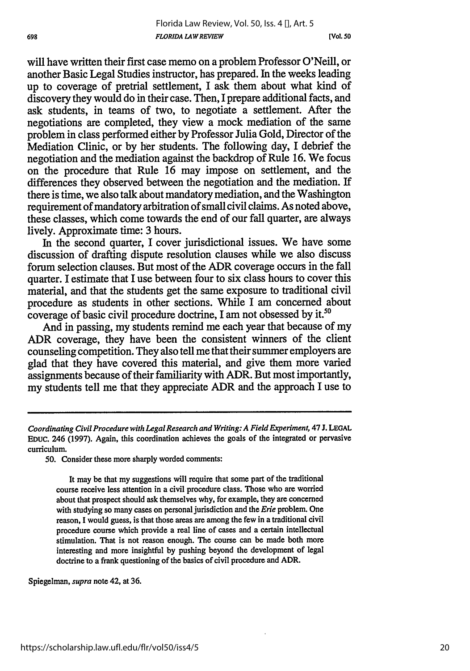**[Vol. so**

will have written their first case memo on a problem Professor O'Neill, or another Basic Legal Studies instructor, has prepared. In the weeks leading up to coverage of pretrial settlement, I ask them about what kind of discovery they would do in their case. Then, I prepare additional facts, and ask students, in teams of two, to negotiate a settlement. After the negotiations are completed, they view a mock mediation of the same problem in class performed either by Professor Julia Gold, Director of the Mediation Clinic, or by her students. The following day, I debrief the negotiation and the mediation against the backdrop of Rule 16. We focus on the procedure that Rule 16 may impose on settlement, and the differences they observed between the negotiation and the mediation. If there is time, we also talk about mandatory mediation, and the Washington requirement of mandatory arbitration of small civil claims. As noted above, these classes, which come towards the end of our fall quarter, are always lively. Approximate time: 3 hours.

In the second quarter, I cover jurisdictional issues. We have some discussion of drafting dispute resolution clauses while we also discuss forum selection clauses. But most of the ADR coverage occurs in the fall quarter. I estimate that I use between four to six class hours to cover this material, and that the students get the same exposure to traditional civil procedure as students in other sections. While I am concerned about coverage of basic civil procedure doctrine, I am not obsessed by it.<sup>51</sup>

And in passing, my students remind me each year that because of my ADR coverage, they have been the consistent winners of the client counseling competition. They also tell me that their summer employers are glad that they have covered this material, and give them more varied assignments because of their familiarity with ADR. But most importantly, my students tell me that they appreciate ADR and the approach I use to

**50.** Consider these more sharply worded comments:

It may be that my suggestions will require that some part of the traditional course receive less attention in a civil procedure class. Those who are worried about that prospect should ask themselves why, for example, they are concerned with studying so many cases on personal jurisdiction and the *Erie* problem. One reason, I would guess, is that those areas are among the few in a traditional civil procedure course which provide a real line of cases and a certain intellectual stimulation. That is not reason enough. The course can be made both more interesting and more insightful by pushing beyond the development of legal doctrine to a frank questioning of the basics of civil procedure and ADR.

Spiegelman, *supra* note 42, at **36.**

*Coordinating Civil Procedure with Legal Research and Writing: A Field Experiment,* 47 J. LEGAL **EDUC.** 246 (1997). Again, this coordination achieves the goals of the integrated or pervasive curriculum.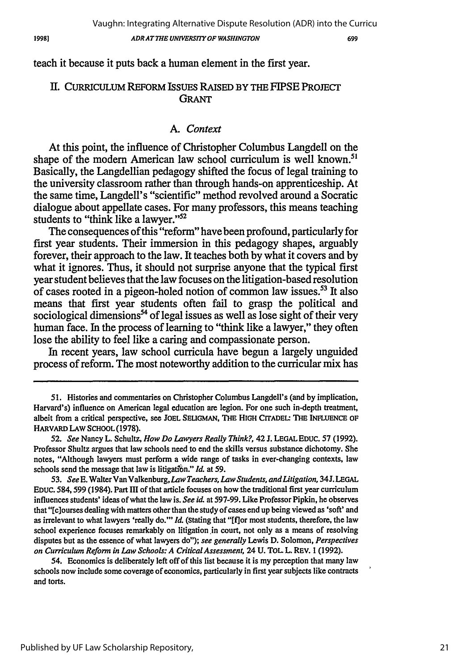699

teach it because it puts back a human element in the first year.

### i. **CURRICULUM** REFORM **ISSUES RAISED BY THE** FIPSE **PROJECT GRANT**

### *A. Context*

At this point, the influence of Christopher Columbus Langdell on the shape of the modern American law school curriculum is well known.<sup>5</sup> Basically, the Langdellian pedagogy shifted the focus of legal training to the university classroom rather than through hands-on apprenticeship. At the same time, Langdell's "scientific" method revolved around a Socratic dialogue about appellate cases. For many professors, this means teaching students to "think like a lawyer."<sup>52</sup>

The consequences of this "reform" have been profound, particularly for first year students. Their immersion in this pedagogy shapes, arguably forever, their approach to the law. It teaches both by what it covers and by what it ignores. Thus, it should not surprise anyone that the typical first year student believes that the law focuses on the litigation-based resolution of cases rooted in a pigeon-holed notion of common law issues.<sup>53</sup> It also means that first year students often fail to grasp the political and sociological dimensions<sup>54</sup> of legal issues as well as lose sight of their very human face. In the process of learning to "think like a lawyer," they often lose the ability to feel like a caring and compassionate person.

In recent years, law school curricula have begun a largely unguided process of reform. The most noteworthy addition to the curricular mix has

54. Economics is deliberately left off of this list because it is my perception that many law schools now include some coverage of economies, particularly in first year subjects like contracts and torts.

<sup>51.</sup> Histories and commentaries on Christopher Columbus Langdell's (and by implication, Harvard's) influence on American legal education are legion. For one such in-depth treatment, albeit from a critical perspective, see JOEL SELIGMAN, THE **HIGH** CrrADEL: **THE** INFLENCE **OF** HARVARD LAW **SCHOOL (1978).**

**<sup>52.</sup>** *See* Nancy L. Schultz, *How Do Lawyers Really Think?,* 42 **J. LEGAL** EDUC. **57 (1992).** Professor Shultz argues that law schools need to end the skills versus substance dichotomy. She notes, "Although lawyers must perform a wide range of tasks in ever-changing contexts, law schools send the message that law is litigation." *Id.* at 59.

*<sup>53.</sup> See* **E.** Walter Van Valkenburg, *Law Teachers, Law Students, andLitigation,* 34J. **LEGAL** EDUc. 584,599 (1984). Part III of that article focuses on how the traditional first year curriculum influences students' ideas of what the law is. *See* id. at 597-99. Like Professor Pipkin, **he** observes that "[c]ourses dealing with matters other than the study of cases end up being viewed as 'soft' and as irrelevant to what lawyers 'really do."' *Id.* (stating that "[ffor most students, therefore, the law school experience focuses remarkably on litigation in court, not only as a means of resolving disputes but as the essence of what lawyers do"); *see generally* Lewis D. Solomon, *Perspectives on Curriculum Reform in Law Schools: A Critical Assessment,* 24 U. TOLL. REV. **1** (1992).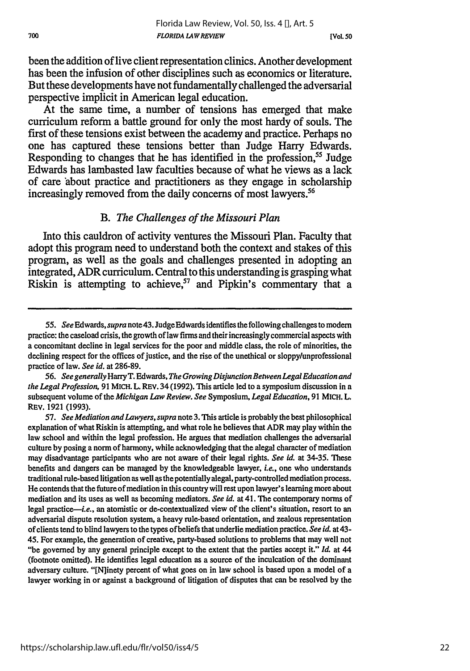**[Vol. so**

been the addition of live client representation clinics. Another development has been the infusion of other disciplines such as economics or literature. But these developments have not fundamentally challenged the adversarial perspective implicit in American legal education.

At the same time, a number of tensions has emerged that make curriculum reform a battle ground for only the most hardy of souls. The first of these tensions exist between the academy and practice. Perhaps no one has captured these tensions better than Judge Harry Edwards. Responding to changes that he has identified in the profession,<sup>55</sup> Judge Edwards has lambasted law faculties because of what he views as a lack of care 'about practice and practitioners as they engage in scholarship increasingly removed from the daily concerns of most lawyers.<sup>56</sup>

### *B. The Challenges of the Missouri Plan*

Into this cauldron of activity ventures the Missouri Plan. Faculty that adopt this program need to understand both the context and stakes of this program, as well as the goals and challenges presented in adopting an integrated, ADR curriculum. Central to this understanding is grasping what Riskin is attempting to achieve, $57$  and Pipkin's commentary that a

*<sup>55.</sup> See Edwards, supra* note43. JudgeEdwards identifies thefollowingchallenges to modem practice: the caseload crisis, the growth of law firms and their increasingly commercial aspects with a concomitant decline in legal services for the poor and middle class, the role of minorities, the declining respect for the offices of justice, and the rise of the unethical or sloppy/unprofessional practice of law. *See id.* at 286-89.

*<sup>56.</sup> See generally* HarryT. Edwards, *The Growing Disjunction Between Legal Education and the Legal Profession,* 91 MICH. L. REV. 34 (1992). This article led to a symposium discussion in a subsequent volume of the *Michigan Law Review. See* Symposium, *Legal Education,* 91 MICH. L. REv. 1921 (1993).

*<sup>57.</sup> See Mediation and Lawyers, supra* note 3. *This* article is probably the best philosophical explanation of what Riskin is attempting, and what role he believes that ADR may play within the law school and within the legal profession. He argues that mediation challenges the adversarial culture by posing a norm of harmony, while acknowledging that the alegal character of mediation may disadvantage participants who are not aware of their legal rights. *See id.* at 34-35. These benefits and dangers can be managed by the knowledgeable lawyer, *i.e.,* one who understands traditional rule-based litigation as well as the potentially alegal, party-controlled mediation process. He contends that the future of mediation in this country will rest upon lawyer's learning more about mediation and its uses as well as becoming mediators. *See id.* at 41. The contemporary norms of legal practice—i.e., an atomistic or de-contextualized view of the client's situation, resort to an adversarial dispute resolution system, a heavy rule-based orientation, and zealous representation of clients tend to blind lawyers to the types of beliefs that underlie mediation practice. *See id.* at 43- 45. For example, the generation of creative, party-based solutions to problems that may well not "be governed by any general principle except to the extent that the parties accept it." *Id.* at 44 (footnote omitted). He identifies legal education as a source of the inculcation of the dominant adversary culture. "[N]inety percent of what goes on in law school is based upon a model of a lawyer working in or against a background of litigation of disputes that can be resolved by the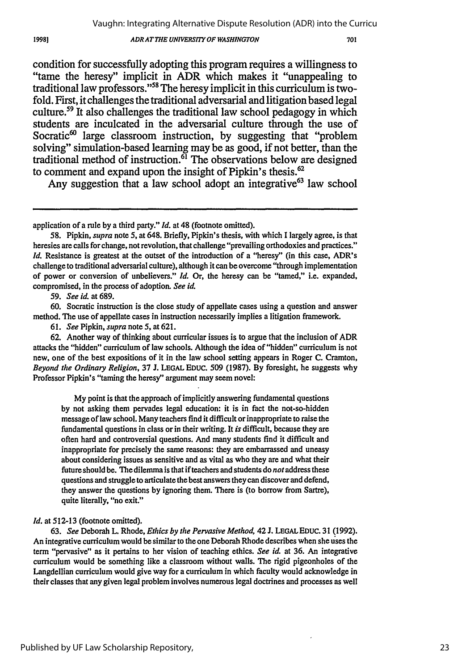#### *ADR ATTHE UNIVERSITY OF WASHINGTON*

condition for successfully adopting this program requires a willingness to "tame the heresy" implicit in ADR which makes it "unappealing to traditional law professors."58 The heresy implicit in this curriculum is twofold. First, it challenges the traditional adversarial and litigation based legal culture.<sup>59</sup> It also challenges the traditional law school pedagogy in which students are inculcated in the adversarial culture through the use of Socratic<sup>60</sup> large classroom instruction, by suggesting that "problem solving" simulation-based learning may be as good, if not better, than the traditional method of instruction.<sup>61</sup> The observations below are designed to comment and expand upon the insight of Pipkin's thesis.<sup>62</sup>

Any suggestion that a law school adopt an integrative<sup>63</sup> law school

59. *See id.* at 689.

60. Socratic instruction is the close study of appellate cases using a question and answer method. The use of appellate cases in instruction necessarily implies a litigation framework.

61. *See* Pipkin, *supra* note **5,** at 621.

62. Another way of thinking about curricular issues is to argue that the inclusion of ADR attacks the "hidden" curriculum of law schools. Although the idea of "hidden" curriculum is not new, one of the best expositions of it in the law school setting appears in Roger C. Cramton, *Beyond the Ordinary Religion,* **37** J. **LEGAL EDUC.** 509 (1987). **By** foresight, he suggests why Professor Pipkin's "taming the heresy" argument may seem novel:

My point is that the approach of implicitly answering fundamental questions **by** not asking them pervades legal education: it is in fact the not-so-hidden message of law school. Many teachers find it difficult or inappropriate to raise the fundamental questions in class or in their writing. It *is* difficult, because they are often hard and controversial questions. And many students find it difficult and inappropriate for precisely the same reasons: they are embarrassed and uneasy about considering issues as sensitive and as vital as who they are and what their future should be. The dilemma is that if teachers and students do *not* address these questions and struggle to articulate the best answers they can discover and defend, they answer the questions by ignoring them. There is (to borrow from Sartre), quite literally, "no exit."

#### *Id.* at 512-13 (footnote omitted).

63. *See* Deborah L. Rhode, *Ethics by the Pervasive Method,* 42 J. **LEGAL** EDUc. **31** (1992). An integrative curriculum would be similar to the one Deborah Rhode describes when she uses the term "pervasive' as it pertains to her vision of teaching ethics. *See id.* at **36.** An integrative curriculum would be something like a classroom without walls. The rigid pigeonholes of the Langdellian curriculum would give way for a curriculum in which faculty would acknowledge in their classes that any given legal problem involves numerous legal doctrines and processes as well

Published by UF Law Scholarship Repository,

application of a rule by a third party." *Id.* at 48 (footnote omitted).

**<sup>58.</sup>** Pipkin, supra note 5, at 648. Briefly, Pipkin's thesis, with which I largely agree, is that heresies are calls for change, not revolution, that challenge "prevailing orthodoxies and practices." *Id.* Resistance is greatest at the outset of the introduction of a "heresy" (in this case, ADR's challenge to traditional adversarial culture), although it can be overcome "through implementation of power or conversion of unbelievers." *Id.* Or, the heresy can be "tamed," i.e. expanded, compromised, in the process of adoption. *See id.*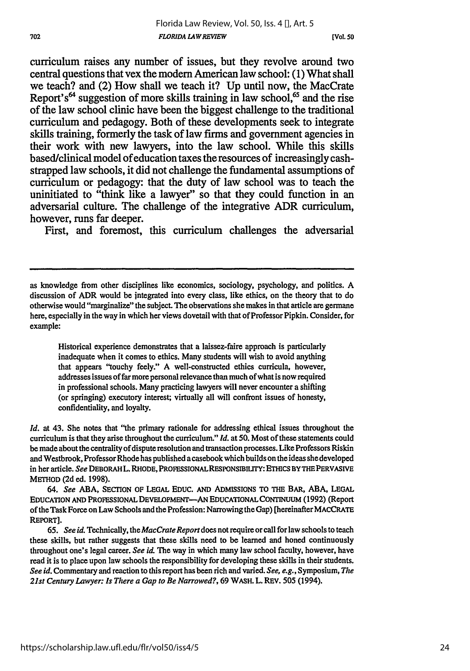**[Vol. so**

curriculum raises any number of issues, but they revolve around two central questions that vex the modem American law school: **(1)** What shall we teach? and (2) How shall we teach it? **Up** until now, the MacCrate Report's<sup>64</sup> suggestion of more skills training in law school,<sup>65</sup> and the rise of the law school clinic have been the biggest challenge to the traditional curriculum and pedagogy. Both of these developments seek to integrate skills training, formerly the task of law firms and government agencies in their work with new lawyers, into the law school. While this skills based/clinical model of education taxes the resources of increasingly cashstrapped law schools, it did not challenge the fundamental assumptions of curriculum or pedagogy: that the duty of law school was to teach the uninitiated to "think like a lawyer" so that they could function in an adversarial culture. The challenge of the integrative ADR curriculum, however, runs far deeper.

First, and foremost, this curriculum challenges the adversarial

Historical experience demonstrates that a laissez-faire approach is particularly inadequate when it comes to ethics. Many students will wish to avoid anything that appears "touchy feely." A well-constructed ethics curricula, however, addresses issues of far more personal relevance than much of what is now required in professional schools. Many practicing lawyers will never encounter a shifting (or springing) executory interest; virtually all will confront issues of honesty, confidentiality, and loyalty.

*Id.* at 43. She notes that "the primary rationale for addressing ethical issues throughout the curriculum is that they arise throughout the curriculum." *Id.* at 50. Most of these statements could be made about the centrality of dispute resolution and transaction processes. Like Professors Riskin and Westbrook, Professor Rhode has published a casebook which builds on theideas shedeveloped in her article. *See* DEBORAH L. RHODE, PROFEsSIONALRESPONSIBILlTY: ETHICS BY THE PERVASIVE METHOD **(2d** ed. **1998).**

*64. See* **ABA,** SECTION OF **LEGAL** EDUC. **AND** ADMISSIONS TO THE BAR, **ABA, LEGAL EDUCATION AND** PROFESSIONAL **DEVELOPMENT-AN EDUCATIONAL** CONTINUUM **(1992)** (Report of the Task Force on Law Schools and the Profession: Narrowing the Gap) [hereinafter MACCRATE REPORT].

**65.** *See id.* Technically, the *MacCrate Report does* not require or call for law schools to teach these skills, but rather suggests that these skills need to be learned and honed continuously throughout one's legal career. *See id.* The way in which many law school faculty, however, have read it is to place upon law schools the responsibility for developing these skills in their students. *See id.* Commentary and reaction to this report has been rich and varied. *See, e.g.,* Symposium, *The 21st Century Lawyer: Is There a Gap to Be Narrowed?,* **69** WASH. L. REV. **505** (1994).

as knowledge from other disciplines like economics, sociology, psychology, and politics. **A** discussion of ADR would be integrated into every class, like ethics, on the theory that to do otherwise would "marginalize" the subject. The observations she makes in that article are germane here, especially in the way in which her views dovetail with that of Professor Pipkin. Consider, for example: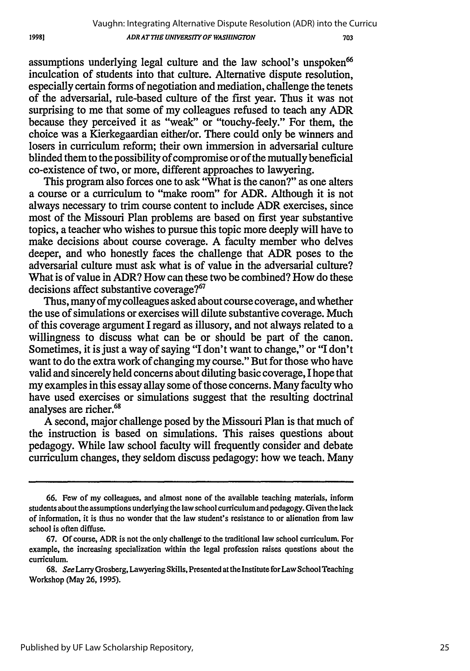assumptions underlying legal culture and the law school's unspoken' inculcation of students into that culture. Alternative dispute resolution, especially certain forms of negotiation and mediation, challenge the tenets of the adversarial, rule-based culture of the first year. Thus it was not surprising to me that some of my colleagues refused to teach any ADR because they perceived it as "weak" or "touchy-feely." For them, the choice was a Kierkegaardian either/or. There could only be winners and losers in curriculum reform; their own immersion in adversarial culture blinded them to the possibility of compromise or of the mutually beneficial co-existence of two, or more, different approaches to lawyering.

This program also forces one to ask "What is the canon?" as one alters a course or a curriculum to "make room" for ADR. Although it is not always necessary to trim course content to include ADR exercises, since most of the Missouri Plan problems are based on first year substantive topics, a teacher who wishes to pursue this topic more deeply will have to make decisions about course coverage. **A** faculty member who delves deeper, and who honestly faces the challenge that ADR poses to the adversarial culture must ask what is of value in the adversarial culture? What is of value in ADR? How can these two be combined? How do these decisions affect substantive coverage?<sup>67</sup>

Thus, many of my colleagues asked about course coverage, and whether the use of simulations or exercises will dilute substantive coverage. Much of this coverage argument I regard as illusory, and not always related to a willingness to discuss what can be or should be part of the canon. Sometimes, it is just a way of saying "I don't want to change," or "I don't want to do the extra work of changing my course." But for those who have valid and sincerely held concerns about diluting basic coverage, I hope that my examples in this essay allay some of those concerns. Many faculty who have used exercises or simulations suggest that the resulting doctrinal analyses are richer.<sup>68</sup>

A second, major challenge posed by the Missouri Plan is that much of the instruction is based on simulations. This raises questions about pedagogy. While law school faculty will frequently consider and debate curriculum changes, they seldom discuss pedagogy: how we teach. Many

19981

**<sup>66.</sup>** Few of my colleagues, and almost none of the available teaching materials, inform students about the assumptions underlying the law school curriculum and pedagogy. Given the lack of information, it is thus no wonder that the law student's resistance to or alienation from law school is often diffuse.

**<sup>67.</sup> Of** course, ADR is not the only challenge to the traditional law school curriculum. For example, the increasing specialization within the legal profession raises questions about the curriculum.

**<sup>68.</sup>** *See* Larry Grosberg, Lawyering Skills, Presented at the Institute for Law School Teaching Workshop (May **26, 1995).**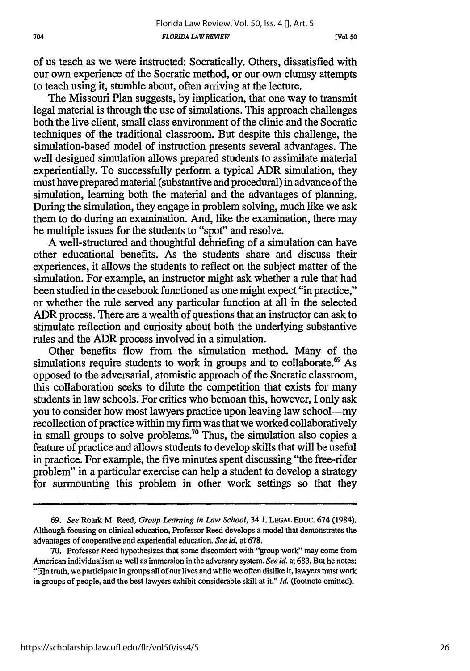**[Vol 50**

of us teach as we were instructed: Socratically. Others, dissatisfied with our own experience of the Socratic method, or our own clumsy attempts to teach using it, stumble about, often arriving at the lecture.

The Missouri Plan suggests, by implication, that one way to transmit legal material is through the use of simulations. This approach challenges both the live client, small class environment of the clinic and the Socratic techniques of the traditional classroom. But despite this challenge, the simulation-based model of instruction presents several advantages. The well designed simulation allows prepared students to assimilate material experientially. To successfully perform a typical ADR simulation, they must have prepared material (substantive and procedural) in advance of the simulation, learning both the material and the advantages of planning. During the simulation, they engage in problem solving, much like we ask them to do during an examination. And, like the examination, there may be multiple issues for the students to "spot" and resolve.

A well-structured and thoughtful debriefing of a simulation can have other educational benefits. As the students share and discuss their experiences, it allows the students to reflect on the subject matter of the simulation. For example, an instructor might ask whether a rule that had been studied in the casebook functioned as one might expect "in practice," or whether the rule served any particular function at all in the selected ADR process. There are a wealth of questions that an instructor can ask to stimulate reflection and curiosity about both the underlying substantive rules and the ADR process involved in a simulation.

Other benefits flow from the simulation method. Many of the simulations require students to work in groups and to collaborate.<sup>69</sup> As opposed to the adversarial, atomistic approach of the Socratic classroom, this collaboration seeks to dilute the competition that exists for many students in law schools. For critics who bemoan this, however, I only ask you to consider how most lawyers practice upon leaving law school-my recollection of practice within my firm was that we worked collaboratively in small groups to solve problems.<sup>70</sup> Thus, the simulation also copies a feature of practice and allows students to develop skills that will be useful in practice. For example, the five minutes spent discussing "the free-rider problem" in a particular exercise can help a student to develop a strategy for surmounting this problem in other work settings so that they

*<sup>69.</sup> See* Roark M. Reed, *Group Learning in Law School,* 34 **J.** LEGAL **EDUC.** 674 (1984). Although focusing on clinical education, Professor Reed develops a model that demonstrates the advantages of cooperative and experiential education. *See id.* at 678.

<sup>70.</sup> Professor Reed hypothesizes that some discomfort with "group work" may come from American individualism as well as immersion in the adversary system. *See id.* at 683. But he notes: "[i]n truth, we participate in groups all of our lives and while we often dislike it, lawyers must work in groups of people, and the best lawyers exhibit considerable skill at it." *Id.* (footnote omitted).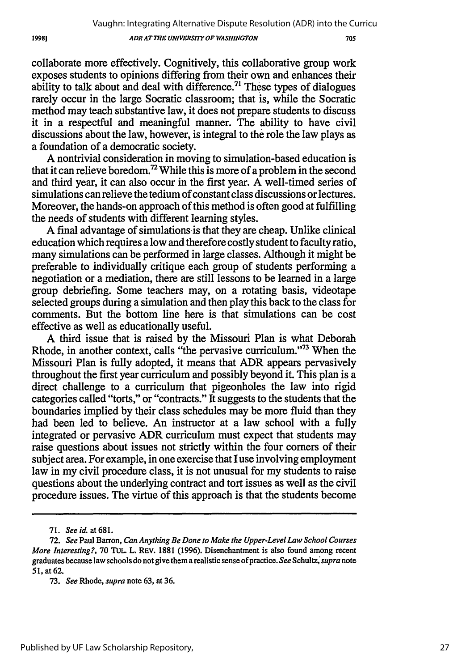#### *ADR ATTHE UNIVERSITY OF WASHINGTON*

collaborate more effectively. Cognitively, this collaborative group work exposes students to opinions differing from their own and enhances their ability to talk about and deal with difference.<sup> $71$ </sup> These types of dialogues rarely occur in the large Socratic classroom; that is, while the Socratic method may teach substantive law, it does not prepare students to discuss it in a respectful and meaningful manner. The ability to have civil discussions about the law, however, is integral to the role the law plays as a foundation of a democratic society.

A nontrivial consideration in moving to simulation-based education is that it can relieve boredom.72 While this is more of a problem in the second and third year, it can also occur in the first year. A well-timed series of simulations can relieve the tedium of constant class discussions or lectures. Moreover, the hands-on approach of this method is often good at fulfilling the needs of students with different learning styles.

A final advantage of simulations is that they are cheap. Unlike clinical education which requires a low and therefore costly student to faculty ratio, many simulations can be performed in large classes. Although it might be preferable to individually critique each group of students performing a negotiation or a mediation, there are still lessons to be learned in a large group debriefing. Some teachers may, on a rotating basis, videotape selected groups during a simulation and then play this back to the class for comments. But the bottom line here is that simulations can be cost effective as well as educationally useful.

A third issue that is raised by the Missouri Plan is what Deborah Rhode, in another context, calls "the pervasive curriculum."<sup>73</sup> When the Missouri Plan is fully adopted, it means that ADR appears pervasively throughout the first year curriculum and possibly beyond it. This plan is a direct challenge to a curriculum that pigeonholes the law into rigid categories called "torts," or "contracts." It suggests to the students that the boundaries implied by their class schedules may be more fluid than they had been led to believe. An instructor at a law school with a fully integrated or pervasive ADR curriculum must expect that students may raise questions about issues not strictly within the four corners of their subject area. For example, in one exercise that I use involving employment law in my civil procedure class, it is not unusual for my students to raise questions about the underlying contract and tort issues as well as the civil procedure issues. The virtue of this approach is that the students become

19981

<sup>71.</sup> *See id. at 681.*

<sup>72.</sup> *See* Paul Barron, *Can Anything Be Done to Make the Upper-Level Law School Courses More Interesting?,* 70 TuL. L. REV. 1881 (1996). Disenchantment is also found among recent graduates because law schools do not give them a realistic sense of practice. *See Schultz,supra* note **51,** at 62.

<sup>73.</sup> *See* Rhode, *supra* note 63, at 36.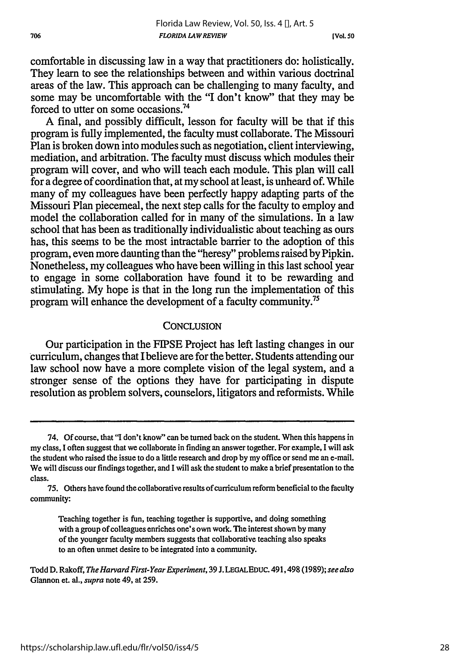comfortable in discussing law in a way that practitioners do: holistically. They learn to see the relationships between and within various doctrinal areas of the law. This approach can be challenging to many faculty, and some may be uncomfortable with the "I don't know" that they may be forced to utter on some occasions. <sup>74</sup>

A final, and possibly difficult, lesson for faculty will be that if this program is fully implemented, the faculty must collaborate. The Missouri Plan is broken down into modules such as negotiation, client interviewing, mediation, and arbitration. The faculty must discuss which modules their program will cover, and who will teach each module. This plan will call for a degree of coordination that, at my school at least, is unheard of. While many of my colleagues have been perfectly happy adapting parts of the Missouri Plan piecemeal, the next step calls for the faculty to employ and model the collaboration called for in many of the simulations. In a law school that has been as traditionally individualistic about teaching as ours has, this seems to be the most intractable barrier to the adoption of this program, even more daunting than the "heresy" problems raised by Pipkin. Nonetheless, my colleagues who have been willing in this last school year to engage in some collaboration have found it to be rewarding and stimulating. My hope is that in the long run the implementation of this program will enhance the development of a faculty community.<sup>75</sup>

#### **CONCLUSION**

Our participation in the FIPSE Project has left lasting changes in our curriculum, changes that Ibelieve are for the better. Students attending our law school now have a more complete vision of the legal system, and a stronger sense of the options they have for participating in dispute resolution as problem solvers, counselors, litigators and reformists. While

Teaching together is fun, teaching together is supportive, and doing something with a group of colleagues enriches one's own work. The interest shown by many of the younger faculty members suggests that collaborative teaching also speaks to an often unmet desire to be integrated into a community.

Todd D. Rakoff, *The Harvard First-Year Experiment,* 39 J. LEGALEDUC. 491,498 (1989); *see also* Glannon et. al., *supra* note 49, at 259.

<sup>74.</sup> **Of** course, that "I don't know" can be turned back on the student. When this happens in my class, I often suggest that we collaborate in finding an answer together. For example, I will ask the student who raised the issue to do a little research and drop by my office or send me an e-mail. We will discuss our findings together, and I will ask the student to make a brief presentation to the class.

**<sup>75.</sup>** Others have found the collaborative results of curriculum reform beneficial to the faculty community: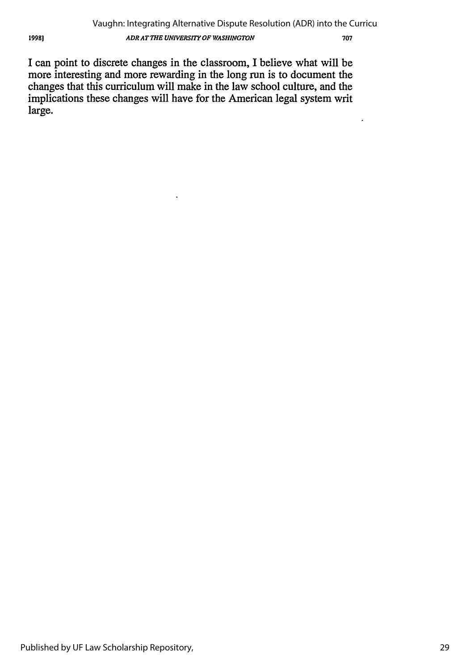J

I can point to discrete changes in the classroom, I believe what will be more interesting and more rewarding in the long run is to document the changes that this curriculum will make in the law school culture, and the implications these changes will have for the American legal system writ large.